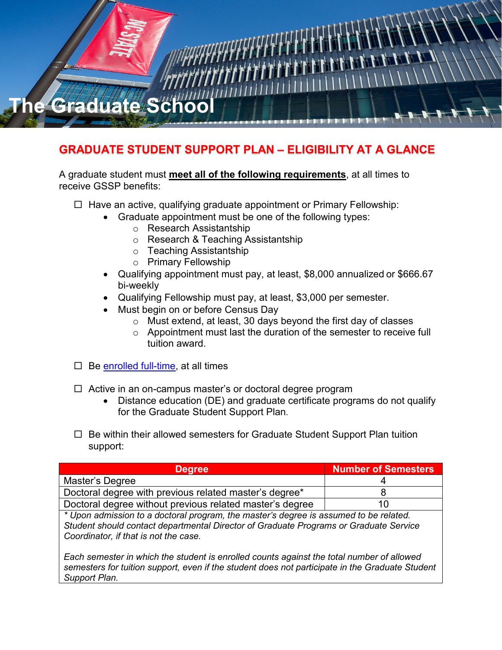

## **GRADUATE STUDENT SUPPORT PLAN – ELIGIBILITY AT A GLANCE**

## A graduate student must **meet all of the following requirements**, at all times to receive GSSP benefits:

- $\Box$  Have an active, qualifying graduate appointment or Primary Fellowship:
	- Graduate appointment must be one of the following types:
		- o Research Assistantship
		- o Research & Teaching Assistantship
		- o Teaching Assistantship
		- o Primary Fellowship
	- Qualifying appointment must pay, at least, \$8,000 annualized or \$666.67 bi-weekly
	- Qualifying Fellowship must pay, at least, \$3,000 per semester.
	- Must begin on or before Census Day
		- o Must extend, at least, 30 days beyond the first day of classes
		- o Appointment must last the duration of the semester to receive full tuition award.
- $\Box$  Be [enrolled full-time,](http://catalog.ncsu.edu/graduate/graduate-handbook/minimum-enrollment-requirements/) at all times
- $\Box$  Active in an on-campus master's or doctoral degree program
	- Distance education (DE) and graduate certificate programs do not qualify for the Graduate Student Support Plan.
- $\Box$  Be within their allowed semesters for Graduate Student Support Plan tuition support:

| <b>Degree</b>                                                                                             | <b>Number of Semesters</b> |
|-----------------------------------------------------------------------------------------------------------|----------------------------|
| Master's Degree                                                                                           |                            |
| Doctoral degree with previous related master's degree*                                                    |                            |
| Doctoral degree without previous related master's degree                                                  |                            |
| . * I haar seehaalaalaan 12 seehaan I waa waxaan 11.5 waxa fadha dagaan sida saar waxa diis haayaala daga |                            |

*\* Upon admission to a doctoral program, the master's degree is assumed to be related. Student should contact departmental Director of Graduate Programs or Graduate Service Coordinator, if that is not the case.* 

*Each semester in which the student is enrolled counts against the total number of allowed semesters for tuition support, even if the student does not participate in the Graduate Student Support Plan.*